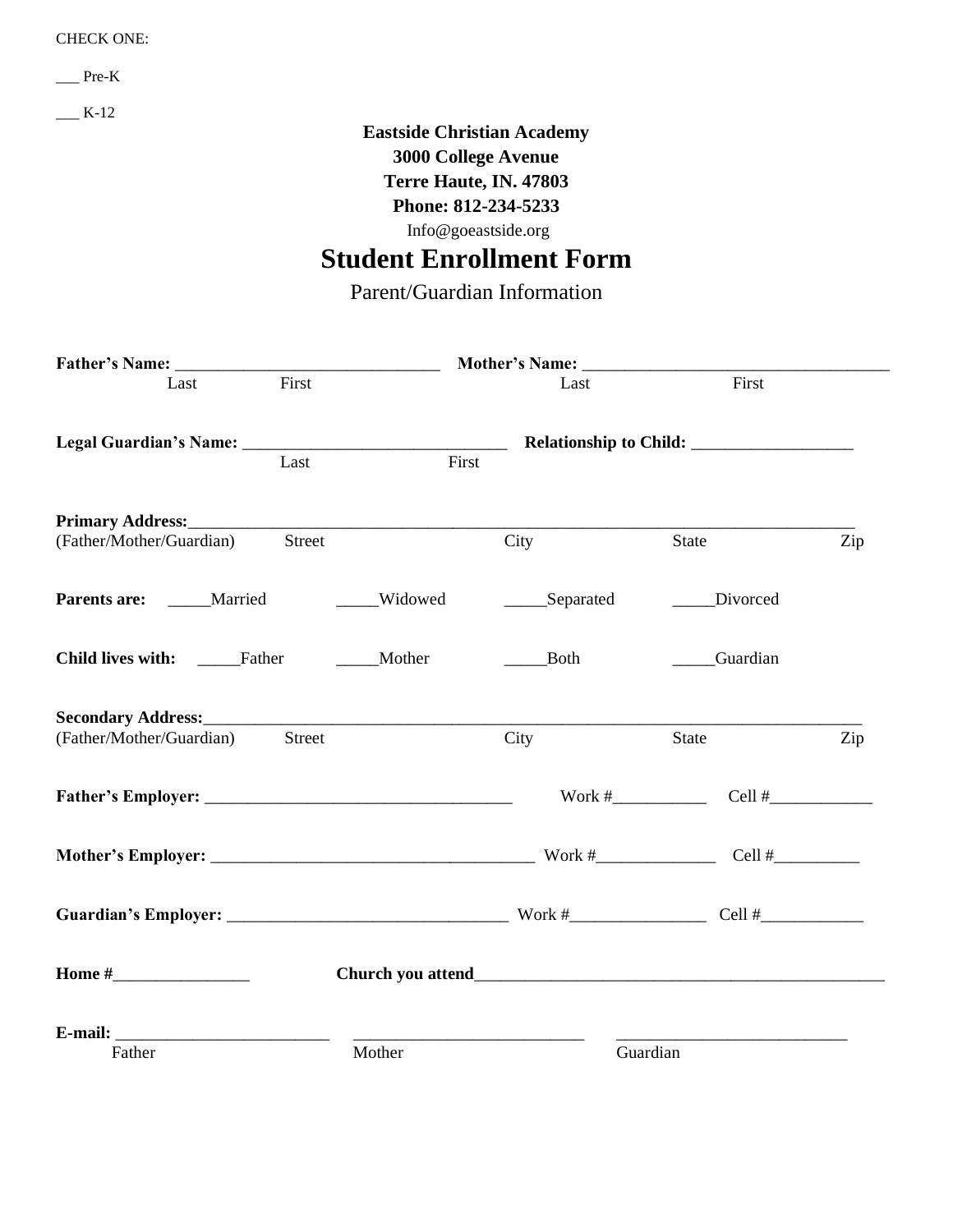#### CHECK ONE:

\_\_\_ Pre-K

 $K-12$ 

# **Eastside Christian Academy**

**3000 College Avenue**

**Terre Haute, IN. 47803**

**Phone: 812-234-5233**

Info@goeastside.org

# **Student Enrollment Form**

Parent/Guardian Information

| First<br>Last                      |         | Last        | First         |     |
|------------------------------------|---------|-------------|---------------|-----|
| Last                               | First   |             |               |     |
|                                    |         |             |               |     |
|                                    |         |             |               |     |
| Street<br>(Father/Mother/Guardian) |         | City        | State         | Zip |
| Parents are: _____Married          | Widowed | Separated   | Divorced      |     |
| Child lives with: ______Father     | Mother  | <b>Both</b> | _____Guardian |     |
|                                    |         |             |               |     |
| (Father/Mother/Guardian)<br>Street |         | City        | State         | Zip |
|                                    |         |             | $Cell$ #      |     |
|                                    |         |             | Cell $#$      |     |
|                                    |         |             |               |     |
| Home $#$                           |         |             |               |     |
|                                    |         |             |               |     |
| Father                             | Mother  |             | Guardian      |     |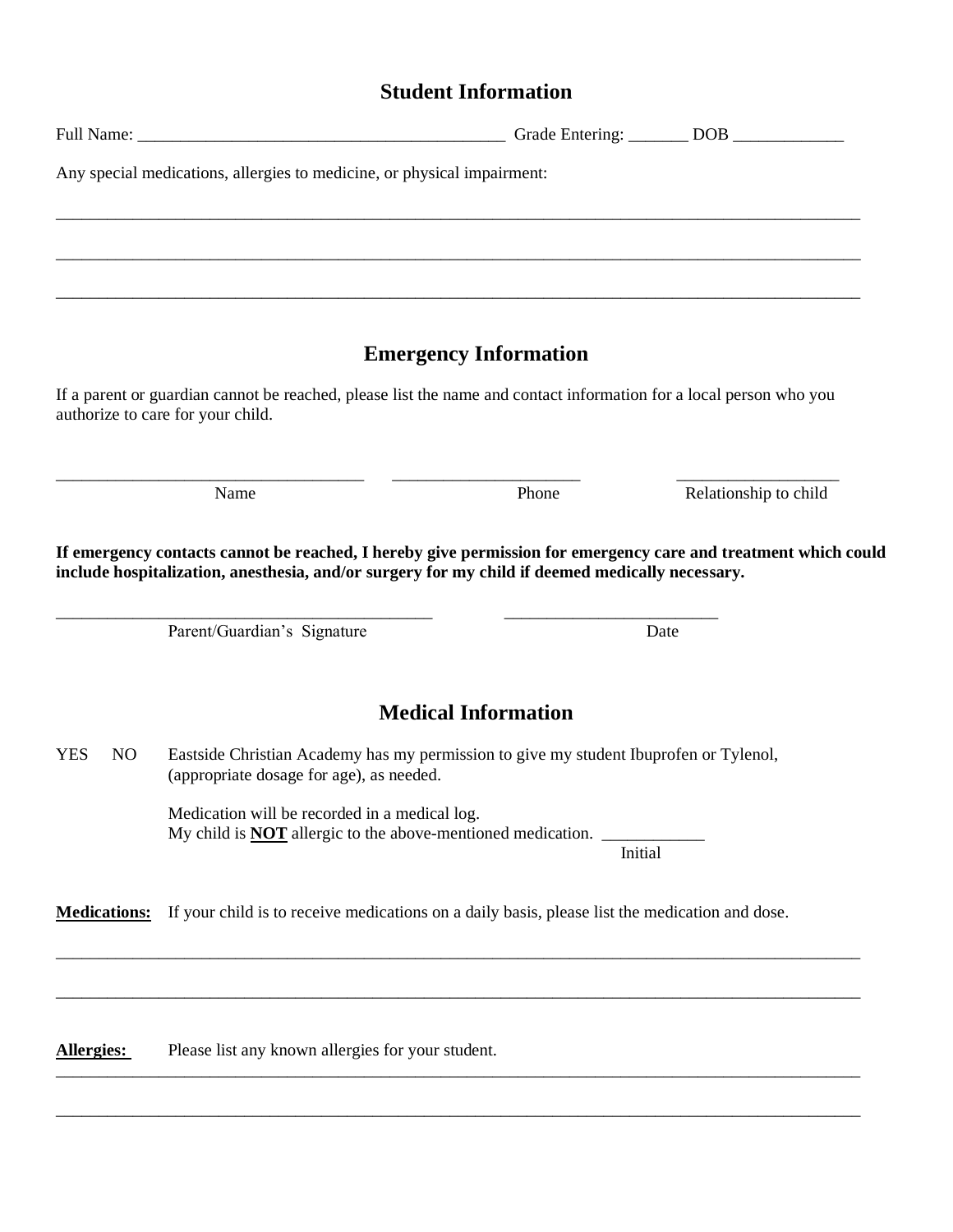## **Student Information**

|                     | Any special medications, allergies to medicine, or physical impairment:                                                                                                                                                                          |                              |                       |
|---------------------|--------------------------------------------------------------------------------------------------------------------------------------------------------------------------------------------------------------------------------------------------|------------------------------|-----------------------|
|                     |                                                                                                                                                                                                                                                  |                              |                       |
|                     |                                                                                                                                                                                                                                                  |                              |                       |
|                     |                                                                                                                                                                                                                                                  | <b>Emergency Information</b> |                       |
|                     | If a parent or guardian cannot be reached, please list the name and contact information for a local person who you<br>authorize to care for your child.                                                                                          |                              |                       |
|                     | Name                                                                                                                                                                                                                                             | Phone                        | Relationship to child |
|                     | If emergency contacts cannot be reached, I hereby give permission for emergency care and treatment which could<br>include hospitalization, anesthesia, and/or surgery for my child if deemed medically necessary.<br>Parent/Guardian's Signature |                              | Date                  |
|                     |                                                                                                                                                                                                                                                  | <b>Medical Information</b>   |                       |
| <b>YES</b><br>NO.   | Eastside Christian Academy has my permission to give my student Ibuprofen or Tylenol,<br>(appropriate dosage for age), as needed.                                                                                                                |                              |                       |
|                     | Medication will be recorded in a medical log.<br>My child is <b>NOT</b> allergic to the above-mentioned medication.                                                                                                                              | Initial                      |                       |
| <b>Medications:</b> | If your child is to receive medications on a daily basis, please list the medication and dose.                                                                                                                                                   |                              |                       |
|                     |                                                                                                                                                                                                                                                  |                              |                       |
| Allergies:          | Please list any known allergies for your student.                                                                                                                                                                                                |                              |                       |

\_\_\_\_\_\_\_\_\_\_\_\_\_\_\_\_\_\_\_\_\_\_\_\_\_\_\_\_\_\_\_\_\_\_\_\_\_\_\_\_\_\_\_\_\_\_\_\_\_\_\_\_\_\_\_\_\_\_\_\_\_\_\_\_\_\_\_\_\_\_\_\_\_\_\_\_\_\_\_\_\_\_\_\_\_\_\_\_\_\_\_\_\_\_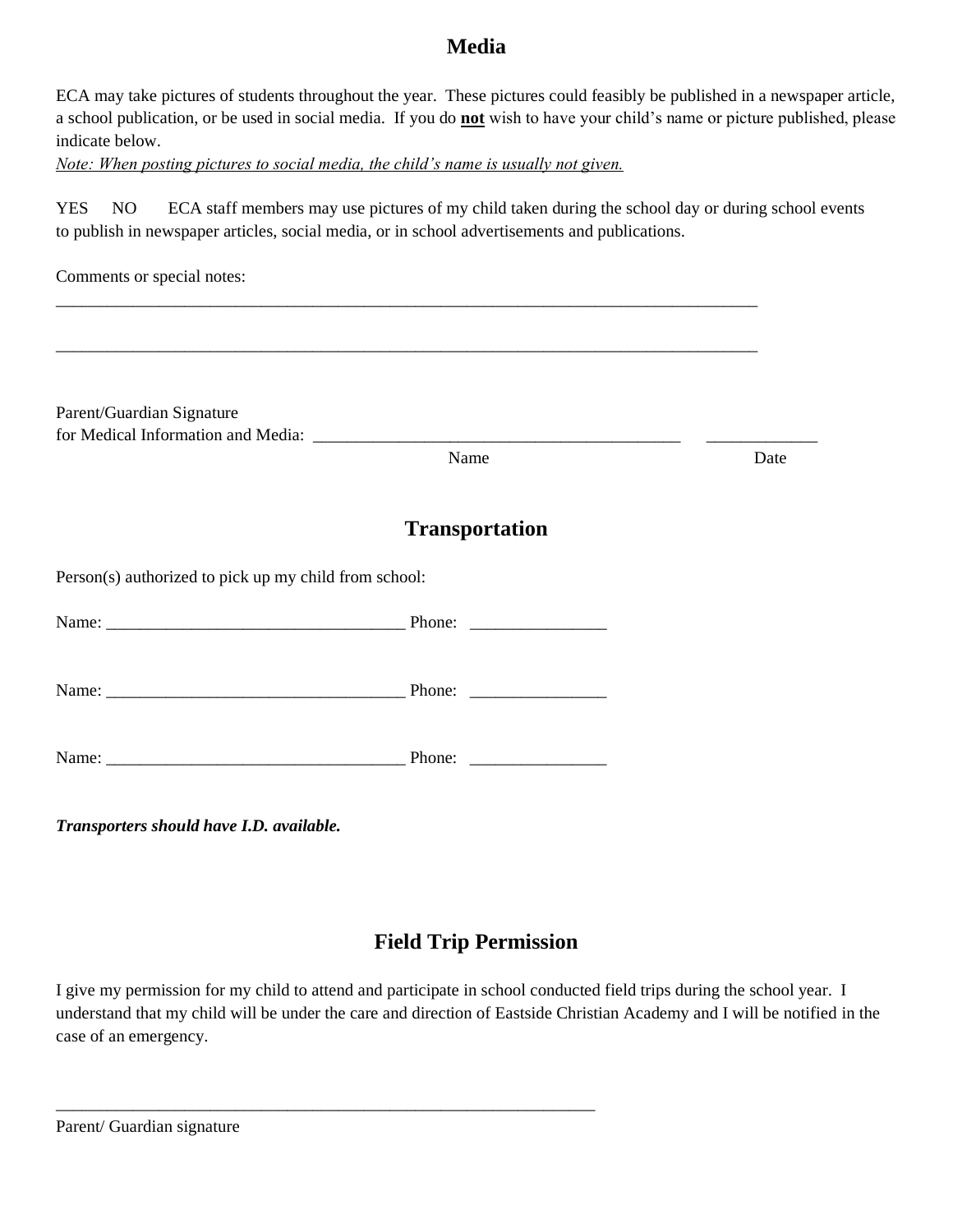## **Media**

ECA may take pictures of students throughout the year. These pictures could feasibly be published in a newspaper article, a school publication, or be used in social media. If you do **not** wish to have your child's name or picture published, please indicate below.

*Note: When posting pictures to social media, the child's name is usually not given.*

YES NO ECA staff members may use pictures of my child taken during the school day or during school events to publish in newspaper articles, social media, or in school advertisements and publications.

| Comments or special notes:                            |                       |      |
|-------------------------------------------------------|-----------------------|------|
| Parent/Guardian Signature                             |                       |      |
|                                                       | Name                  | Date |
|                                                       | <b>Transportation</b> |      |
| Person(s) authorized to pick up my child from school: |                       |      |
|                                                       |                       |      |
|                                                       |                       |      |
|                                                       |                       |      |
|                                                       |                       |      |

*Transporters should have I.D. available.*

## **Field Trip Permission**

I give my permission for my child to attend and participate in school conducted field trips during the school year. I understand that my child will be under the care and direction of Eastside Christian Academy and I will be notified in the case of an emergency.

\_\_\_\_\_\_\_\_\_\_\_\_\_\_\_\_\_\_\_\_\_\_\_\_\_\_\_\_\_\_\_\_\_\_\_\_\_\_\_\_\_\_\_\_\_\_\_\_\_\_\_\_\_\_\_\_\_\_\_\_\_\_\_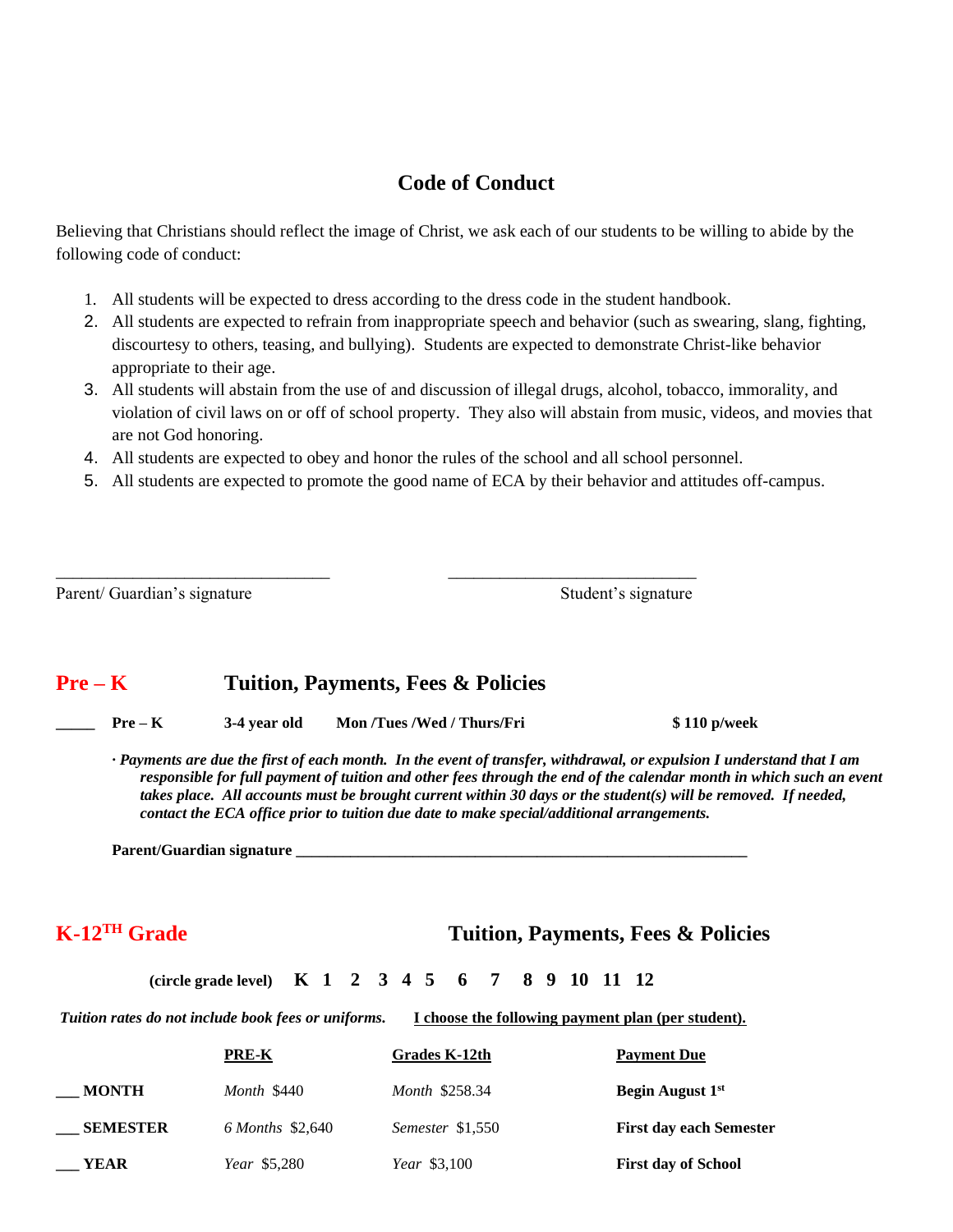## **Code of Conduct**

Believing that Christians should reflect the image of Christ, we ask each of our students to be willing to abide by the following code of conduct:

- 1. All students will be expected to dress according to the dress code in the student handbook.
- 2. All students are expected to refrain from inappropriate speech and behavior (such as swearing, slang, fighting, discourtesy to others, teasing, and bullying). Students are expected to demonstrate Christ-like behavior appropriate to their age.
- 3. All students will abstain from the use of and discussion of illegal drugs, alcohol, tobacco, immorality, and violation of civil laws on or off of school property. They also will abstain from music, videos, and movies that are not God honoring.
- 4. All students are expected to obey and honor the rules of the school and all school personnel.

\_\_\_\_\_\_\_\_\_\_\_\_\_\_\_\_\_\_\_\_\_\_\_\_\_\_\_\_\_\_\_\_ \_\_\_\_\_\_\_\_\_\_\_\_\_\_\_\_\_\_\_\_\_\_\_\_\_\_\_\_\_

5. All students are expected to promote the good name of ECA by their behavior and attitudes off-campus.

Parent/ Guardian's signature Student's signature Student's signature

#### **Pre – K Tuition, Payments, Fees & Policies**

**\_\_\_\_\_ Pre – K 3-4 year old Mon /Tues /Wed / Thurs/Fri \$ 110 p/week**

*· Payments are due the first of each month. In the event of transfer, withdrawal, or expulsion I understand that I am responsible for full payment of tuition and other fees through the end of the calendar month in which such an event takes place. All accounts must be brought current within 30 days or the student(s) will be removed. If needed, contact the ECA office prior to tuition due date to make special/additional arrangements.*

Parent/Guardian signature

**K-12TH Grade Tuition, Payments, Fees & Policies**

 **(circle grade level) K 1 2 3 4 5 6 7 8 9 10 11 12** 

*Tuition rates do not include book fees or uniforms.* **I choose the following payment plan (per student).**

|                 | <b>PRE-K</b>        | Grades K-12th    | <b>Payment Due</b>             |
|-----------------|---------------------|------------------|--------------------------------|
| <b>MONTH</b>    | Month \$440         | Month \$258.34   | Begin August 1 <sup>st</sup>   |
| <b>SEMESTER</b> | 6 Months \$2,640    | Semester \$1,550 | <b>First day each Semester</b> |
| YEAR            | <i>Year</i> \$5,280 | Year \$3,100     | <b>First day of School</b>     |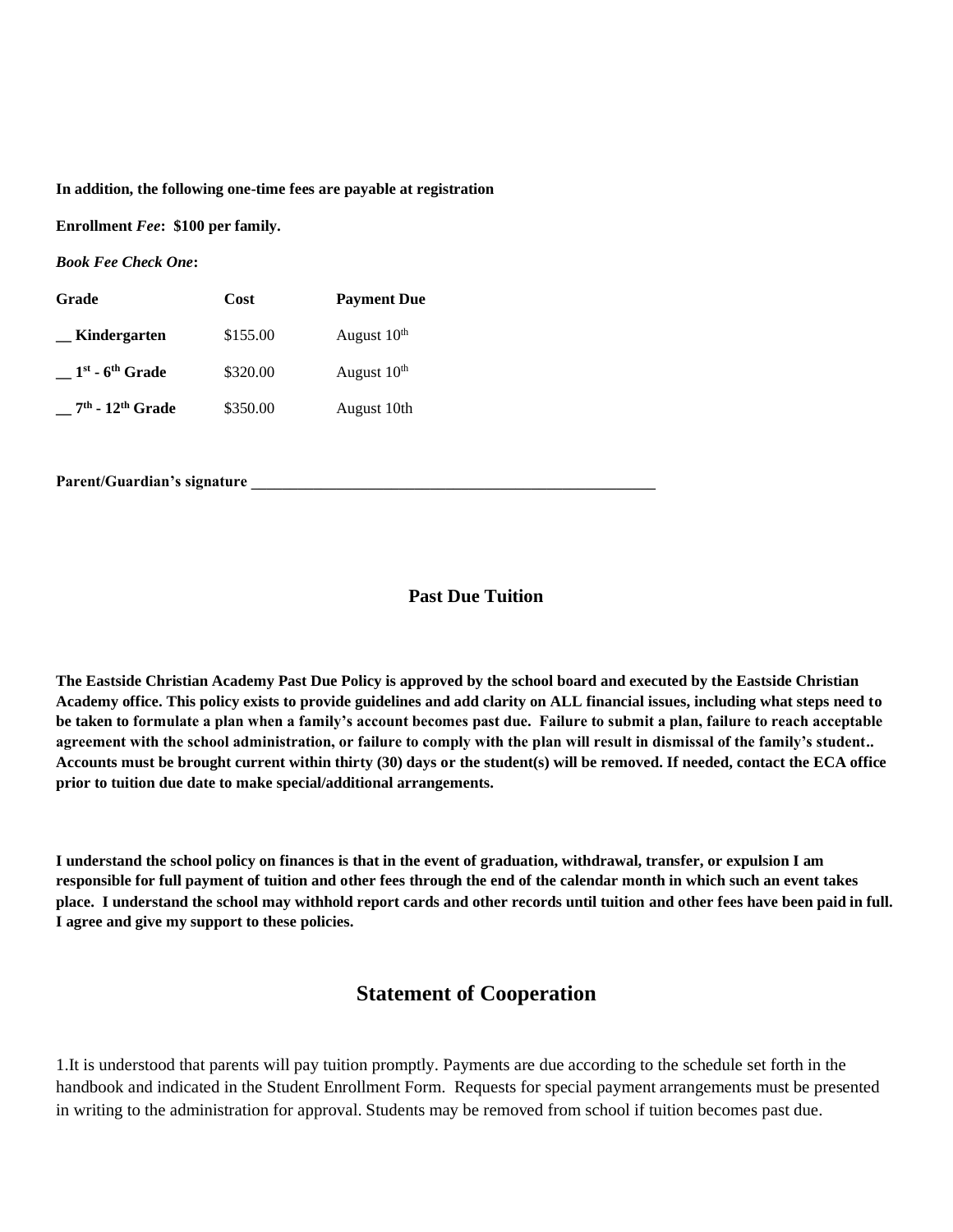**In addition, the following one-time fees are payable at registration**

**Enrollment** *Fee***: \$100 per family.**

*Book Fee Check One***:**

| Grade                | Cost     | <b>Payment Due</b>      |
|----------------------|----------|-------------------------|
| Kindergarten         | \$155.00 | August 10 <sup>th</sup> |
| $1st$ - $6th$ Grade  | \$320.00 | August 10 <sup>th</sup> |
| $7th$ - $12th$ Grade | \$350.00 | August 10th             |

Parent/Guardian's signature

#### **Past Due Tuition**

**The Eastside Christian Academy Past Due Policy is approved by the school board and executed by the Eastside Christian Academy office. This policy exists to provide guidelines and add clarity on ALL financial issues, including what steps need to be taken to formulate a plan when a family's account becomes past due. Failure to submit a plan, failure to reach acceptable agreement with the school administration, or failure to comply with the plan will result in dismissal of the family's student.. Accounts must be brought current within thirty (30) days or the student(s) will be removed. If needed, contact the ECA office prior to tuition due date to make special/additional arrangements.**

**I understand the school policy on finances is that in the event of graduation, withdrawal, transfer, or expulsion I am responsible for full payment of tuition and other fees through the end of the calendar month in which such an event takes place. I understand the school may withhold report cards and other records until tuition and other fees have been paid in full. I agree and give my support to these policies.**

#### **Statement of Cooperation**

1.It is understood that parents will pay tuition promptly. Payments are due according to the schedule set forth in the handbook and indicated in the Student Enrollment Form. Requests for special payment arrangements must be presented in writing to the administration for approval. Students may be removed from school if tuition becomes past due.